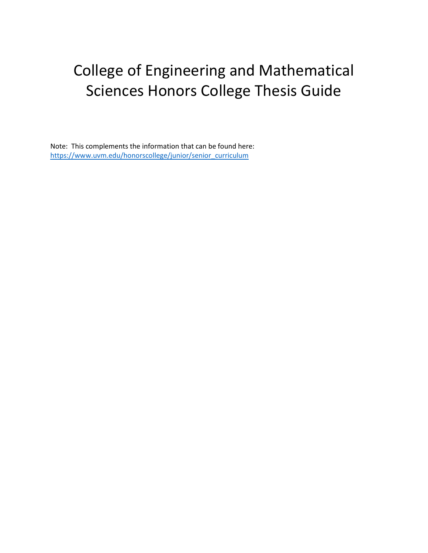# College of Engineering and Mathematical Sciences Honors College Thesis Guide

Note: This complements the information that can be found here: [https://www.uvm.edu/honorscollege/junior/senior\\_curriculum](https://www.uvm.edu/honorscollege/junior/senior_curriculum)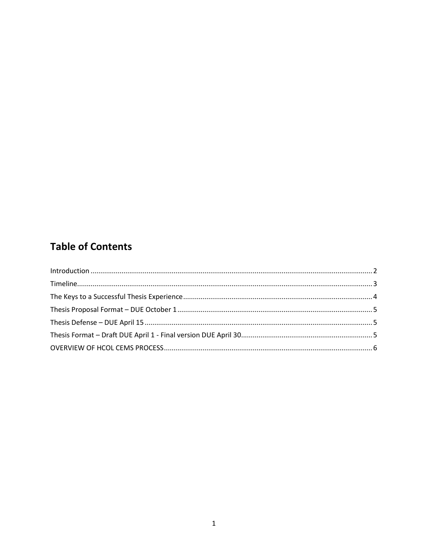# **Table of Contents**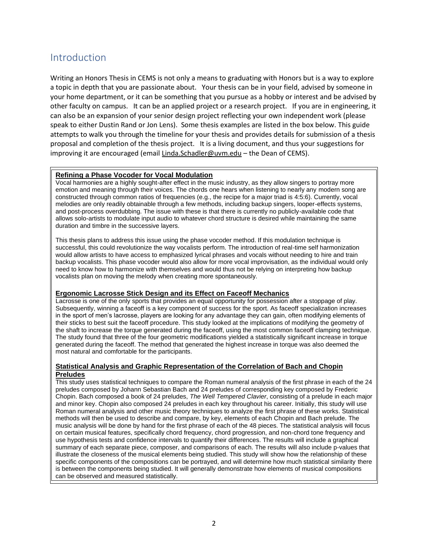## <span id="page-2-0"></span>Introduction

Writing an Honors Thesis in CEMS is not only a means to graduating with Honors but is a way to explore a topic in depth that you are passionate about. Your thesis can be in your field, advised by someone in your home department, or it can be something that you pursue as a hobby or interest and be advised by other faculty on campus. It can be an applied project or a research project. If you are in engineering, it can also be an expansion of your senior design project reflecting your own independent work (please speak to either Dustin Rand or Jon Lens). Some thesis examples are listed in the box below. This guide attempts to walk you through the timeline for your thesis and provides details for submission of a thesis proposal and completion of the thesis project. It is a living document, and thus your suggestions for improving it are encouraged (email [Linda.Schadler@uvm.edu](mailto:Linda.Schadler@uvm.edu) – the Dean of CEMS).

### **Refining a Phase Vocoder for Vocal [Modulation](http://scholarworks.uvm.edu/hcoltheses/325)**

Vocal harmonies are a highly sought-after effect in the music industry, as they allow singers to portray more emotion and meaning through their voices. The chords one hears when listening to nearly any modern song are constructed through common ratios of frequencies (e.g., the recipe for a major triad is 4:5:6). Currently, vocal melodies are only readily obtainable through a few methods, including backup singers, looper-effects systems, and post-process overdubbing. The issue with these is that there is currently no publicly-available code that allows solo-artists to modulate input audio to whatever chord structure is desired while maintaining the same duration and timbre in the successive layers.

This thesis plans to address this issue using the phase vocoder method. If this modulation technique is successful, this could revolutionize the way vocalists perform. The introduction of real-time self harmonization would allow artists to have access to emphasized lyrical phrases and vocals without needing to hire and train backup vocalists. This phase vocoder would also allow for more vocal improvisation, as the individual would only need to know how to harmonize with themselves and would thus not be relying on interpreting how backup vocalists plan on moving the melody when creating more spontaneously.

#### **[Ergonomic](http://scholarworks.uvm.edu/hcoltheses/230) Lacrosse Stick Design and its Effect on Faceoff Mechanics**

Lacrosse is one of the only sports that provides an equal opportunity for possession after a stoppage of play. Subsequently, winning a faceoff is a key component of success for the sport. As faceoff specialization increases in the sport of men's lacrosse, players are looking for any advantage they can gain, often modifying elements of their sticks to best suit the faceoff procedure. This study looked at the implications of modifying the geometry of the shaft to increase the torque generated during the faceoff, using the most common faceoff clamping technique. The study found that three of the four geometric modifications yielded a statistically significant increase in torque generated during the faceoff. The method that generated the highest increase in torque was also deemed the most natural and comfortable for the participants.

### **Statistical Analysis and Graphic [Representation](http://scholarworks.uvm.edu/hcoltheses/25) of the Correlation of Bach and Chopin [Preludes](http://scholarworks.uvm.edu/hcoltheses/25)**

This study uses statistical techniques to compare the Roman numeral analysis of the first phrase in each of the 24 preludes composed by Johann Sebastian Bach and 24 preludes of corresponding key composed by Frederic Chopin. Bach composed a book of 24 preludes, *The Well Tempered Clavier*, consisting of a prelude in each major and minor key. Chopin also composed 24 preludes in each key throughout his career. Initially, this study will use Roman numeral analysis and other music theory techniques to analyze the first phrase of these works. Statistical methods will then be used to describe and compare, by key, elements of each Chopin and Bach prelude. The music analysis will be done by hand for the first phrase of each of the 48 pieces. The statistical analysis will focus on certain musical features, specifically chord frequency, chord progression, and non-chord tone frequency and use hypothesis tests and confidence intervals to quantify their differences. The results will include a graphical summary of each separate piece, composer, and comparisons of each. The results will also include p-values that illustrate the closeness of the musical elements being studied. This study will show how the relationship of these specific components of the compositions can be portrayed, and will determine how much statistical similarity there is between the components being studied. It will generally demonstrate how elements of musical compositions can be observed and measured statistically.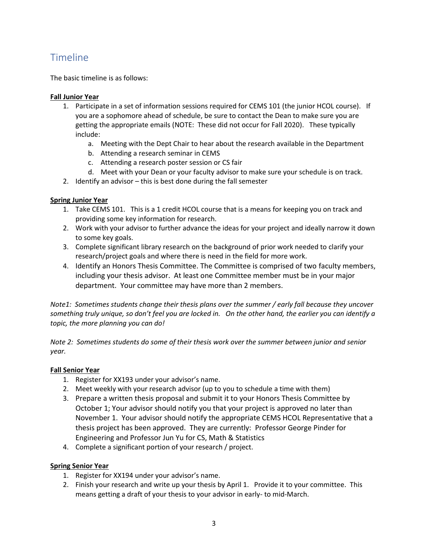# <span id="page-3-0"></span>Timeline

The basic timeline is as follows:

### **Fall Junior Year**

- 1. Participate in a set of information sessions required for CEMS 101 (the junior HCOL course). If you are a sophomore ahead of schedule, be sure to contact the Dean to make sure you are getting the appropriate emails (NOTE: These did not occur for Fall 2020). These typically include:
	- a. Meeting with the Dept Chair to hear about the research available in the Department
	- b. Attending a research seminar in CEMS
	- c. Attending a research poster session or CS fair
	- d. Meet with your Dean or your faculty advisor to make sure your schedule is on track.
- 2. Identify an advisor this is best done during the fall semester

### **Spring Junior Year**

- 1. Take CEMS 101. This is a 1 credit HCOL course that is a means for keeping you on track and providing some key information for research.
- 2. Work with your advisor to further advance the ideas for your project and ideally narrow it down to some key goals.
- 3. Complete significant library research on the background of prior work needed to clarify your research/project goals and where there is need in the field for more work.
- 4. Identify an Honors Thesis Committee. The Committee is comprised of two faculty members, including your thesis advisor. At least one Committee member must be in your major department. Your committee may have more than 2 members.

*Note1: Sometimes students change their thesis plans over the summer / early fall because they uncover something truly unique, so don't feel you are locked in. On the other hand, the earlier you can identify a topic, the more planning you can do!*

*Note 2: Sometimes students do some of their thesis work over the summer between junior and senior year.* 

### **Fall Senior Year**

- 1. Register for XX193 under your advisor's name.
- 2. Meet weekly with your research advisor (up to you to schedule a time with them)
- 3. Prepare a written thesis proposal and submit it to your Honors Thesis Committee by October 1; Your advisor should notify you that your project is approved no later than November 1. Your advisor should notify the appropriate CEMS HCOL Representative that a thesis project has been approved. They are currently: Professor George Pinder for Engineering and Professor Jun Yu for CS, Math & Statistics
- 4. Complete a significant portion of your research / project.

### **Spring Senior Year**

- 1. Register for XX194 under your advisor's name.
- 2. Finish your research and write up your thesis by April 1. Provide it to your committee. This means getting a draft of your thesis to your advisor in early- to mid-March.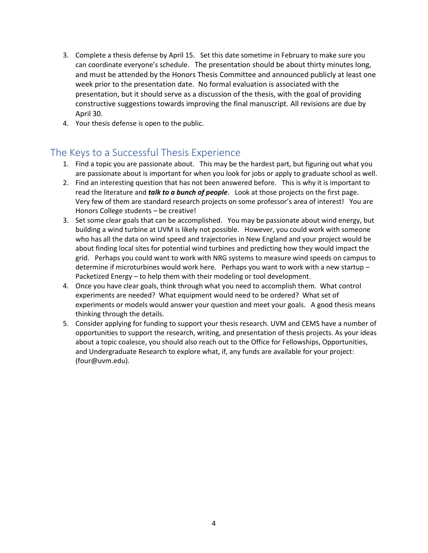- 3. Complete a thesis defense by April 15. Set this date sometime in February to make sure you can coordinate everyone's schedule. The presentation should be about thirty minutes long, and must be attended by the Honors Thesis Committee and announced publicly at least one week prior to the presentation date. No formal evaluation is associated with the presentation, but it should serve as a discussion of the thesis, with the goal of providing constructive suggestions towards improving the final manuscript. All revisions are due by April 30.
- 4. Your thesis defense is open to the public.

## <span id="page-4-0"></span>The Keys to a Successful Thesis Experience

- 1. Find a topic you are passionate about. This may be the hardest part, but figuring out what you are passionate about is important for when you look for jobs or apply to graduate school as well.
- 2. Find an interesting question that has not been answered before. This is why it is important to read the literature and *talk to a bunch of people*. Look at those projects on the first page. Very few of them are standard research projects on some professor's area of interest! You are Honors College students – be creative!
- 3. Set some clear goals that can be accomplished. You may be passionate about wind energy, but building a wind turbine at UVM is likely not possible. However, you could work with someone who has all the data on wind speed and trajectories in New England and your project would be about finding local sites for potential wind turbines and predicting how they would impact the grid. Perhaps you could want to work with NRG systems to measure wind speeds on campus to determine if microturbines would work here. Perhaps you want to work with a new startup – Packetized Energy – to help them with their modeling or tool development.
- 4. Once you have clear goals, think through what you need to accomplish them. What control experiments are needed? What equipment would need to be ordered? What set of experiments or models would answer your question and meet your goals. A good thesis means thinking through the details.
- <span id="page-4-1"></span>5. Consider applying for funding to support your thesis research. UVM and CEMS have a number of opportunities to support the research, writing, and presentation of thesis projects. As your ideas about a topic coalesce, you should also reach out to the Office for Fellowships, Opportunities, and Undergraduate Research to explore what, if, any funds are available for your project: (four@uvm.edu).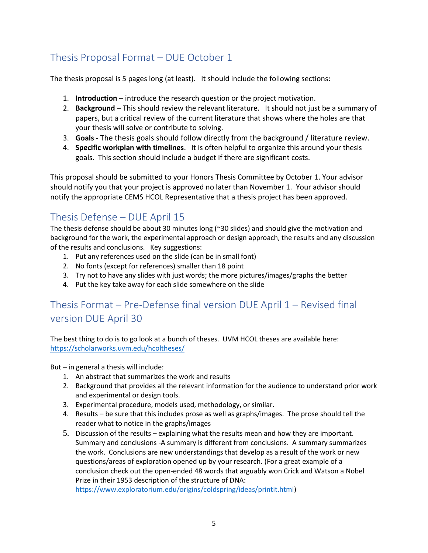# Thesis Proposal Format – DUE October 1

The thesis proposal is 5 pages long (at least). It should include the following sections:

- 1. **Introduction** introduce the research question or the project motivation.
- 2. **Background** This should review the relevant literature. It should not just be a summary of papers, but a critical review of the current literature that shows where the holes are that your thesis will solve or contribute to solving.
- 3. **Goals** The thesis goals should follow directly from the background / literature review.
- 4. **Specific workplan with timelines**. It is often helpful to organize this around your thesis goals. This section should include a budget if there are significant costs.

This proposal should be submitted to your Honors Thesis Committee by October 1. Your advisor should notify you that your project is approved no later than November 1. Your advisor should notify the appropriate CEMS HCOL Representative that a thesis project has been approved.

# <span id="page-5-0"></span>Thesis Defense – DUE April 15

The thesis defense should be about 30 minutes long (~30 slides) and should give the motivation and background for the work, the experimental approach or design approach, the results and any discussion of the results and conclusions. Key suggestions:

- 1. Put any references used on the slide (can be in small font)
- 2. No fonts (except for references) smaller than 18 point
- 3. Try not to have any slides with just words; the more pictures/images/graphs the better
- 4. Put the key take away for each slide somewhere on the slide

# <span id="page-5-1"></span>Thesis Format – Pre-Defense final version DUE April 1 – Revised final version DUE April 30

The best thing to do is to go look at a bunch of theses. UVM HCOL theses are available here: <https://scholarworks.uvm.edu/hcoltheses/>

But – in general a thesis will include:

- 1. An abstract that summarizes the work and results
- 2. Background that provides all the relevant information for the audience to understand prior work and experimental or design tools.
- 3. Experimental procedure, models used, methodology, or similar.
- 4. Results be sure that this includes prose as well as graphs/images. The prose should tell the reader what to notice in the graphs/images
- 5. Discussion of the results explaining what the results mean and how they are important. Summary and conclusions -A summary is different from conclusions. A summary summarizes the work. Conclusions are new understandings that develop as a result of the work or new questions/areas of exploration opened up by your research. (For a great example of a conclusion check out the open-ended 48 words that arguably won Crick and Watson a Nobel Prize in their 1953 description of the structure of DNA:

[https://www.exploratorium.edu/origins/coldspring/ideas/printit.html\)](https://www.exploratorium.edu/origins/coldspring/ideas/printit.html)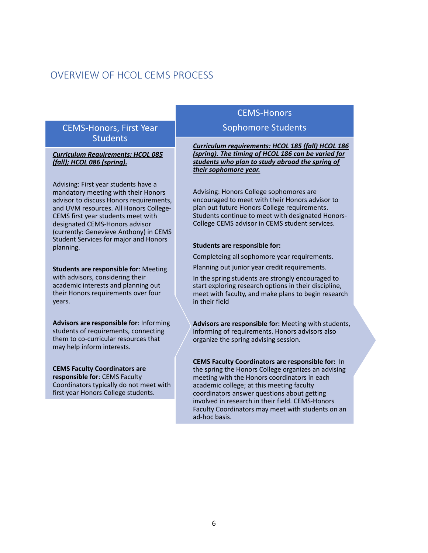### <span id="page-6-0"></span>OVERVIEW OF HCOL CEMS PROCESS

### CEMS-Honors, First Year **Students**

*Curriculum Requirements: HCOL 085 (fall); HCOL 086 (spring).*

Advising: First year students have <sup>a</sup> mandatory meeting with their Honors advisor to discuss Honors requirements, and UVM resources. All Honors College-CEMS first year students meet with designated CEMS-Honors advisor (currently: Genevieve Anthony) in CEMS Student Services for major and Honors planning.

**Students are responsible for**: Meeting with advisors, considering their academic interests and planning out their Honors requirements over four years.

**Advisors are responsible for**: Informing students of requirements, connecting them to co-curricular resources that may help inform interests.

**CEMS Faculty Coordinators are responsible for**: CEMS Faculty Coordinators typically do not meet with first year Honors College students.

### CEMS-Honors

### Sophomore Students

*Curriculum requirements: HCOL 185 (fall) HCOL 186 (spring). The timing of HCOL 186 can be varied for students who plan to study abroad the spring of their sophomore year.*

Advising: Honors College sophomores are encouraged to meet with their Honors advisor to plan out future Honors College requirements. Students continue to meet with designated Honors-College CEMS advisor in CEMS student services.

#### **Students are responsible for:**

Completeing all sophomore year requirements.

Planning out junior year credit requirements.

In the spring students are strongly encouraged to start exploring research options in their discipline, meet with faculty, and make plans to begin research in their field

**Advisors are responsible for:** Meeting with students, informing of requirements. Honors advisors also organize the spring advising session.

**CEMS Faculty Coordinators are responsible for:** In the spring the Honors College organizes an advising meeting with the Honors coordinators in each academic college; at this meeting faculty coordinators answer questions about getting involved in research in their field. CEMS-Honors Faculty Coordinators may meet with students on an ad-hoc basis.